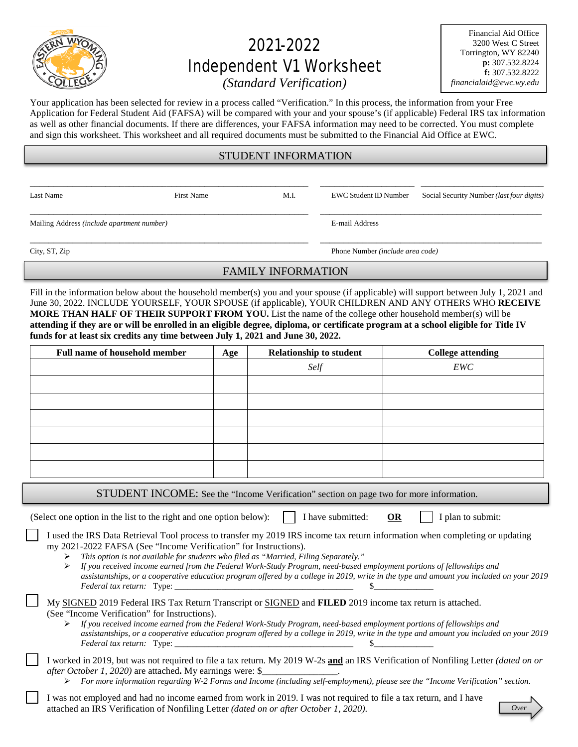

# 2021-2022 Independent V1 Worksheet

Financial Aid Office 3200 West C Street Torrington, WY 82240 **p:** 307.532.8224 **f:** 307.532.8222 *financialaid@ewc.wy.edu*

*(Standard Verification)*

Your application has been selected for review in a process called "Verification." In this process, the information from your Free Application for Federal Student Aid (FAFSA) will be compared with your and your spouse's (if applicable) Federal IRS tax information as well as other financial documents. If there are differences, your FAFSA information may need to be corrected. You must complete and sign this worksheet. This worksheet and all required documents must be submitted to the Financial Aid Office at EWC.

# STUDENT INFORMATION

\_\_\_\_\_\_\_\_\_\_\_\_\_\_\_\_\_\_\_\_\_\_\_\_\_\_\_\_\_\_\_\_\_\_\_\_\_\_\_\_\_\_\_\_\_\_\_\_\_\_\_\_\_\_\_\_\_\_\_ \_\_\_\_\_\_\_\_\_\_\_\_\_\_\_\_\_\_\_\_ \_\_\_\_\_\_\_\_\_\_\_\_\_\_\_\_\_\_\_\_\_\_\_\_\_\_

\_\_\_\_\_\_\_\_\_\_\_\_\_\_\_\_\_\_\_\_\_\_\_\_\_\_\_\_\_\_\_\_\_\_\_\_\_\_\_\_\_\_\_\_\_\_\_\_\_\_\_\_\_\_\_\_\_\_\_ \_\_\_\_\_\_\_\_\_\_\_\_\_\_\_\_\_\_\_\_\_\_\_\_\_\_\_\_\_\_\_\_\_\_\_\_\_\_\_\_\_\_\_\_\_\_\_

Mailing Address *(include apartment number)* E-mail Address

Last Name First Name First Name M.I. EWC Student ID Number Social Security Number *(last four digits)* 

\_\_\_\_\_\_\_\_\_\_\_\_\_\_\_\_\_\_\_\_\_\_\_\_\_\_\_\_\_\_\_\_\_\_\_\_\_\_\_\_\_\_\_\_\_\_\_\_\_\_\_\_\_\_\_\_\_\_\_ \_\_\_\_\_\_\_\_\_\_\_\_\_\_\_\_\_\_\_\_\_\_\_\_\_\_\_\_\_\_\_\_\_\_\_\_\_\_\_\_\_\_\_\_\_\_\_

City, ST, Zip Phone Number *(include area code)*

## FAMILY INFORMATION

Fill in the information below about the household member(s) you and your spouse (if applicable) will support between July 1, 2021 and June 30, 2022. INCLUDE YOURSELF, YOUR SPOUSE (if applicable), YOUR CHILDREN AND ANY OTHERS WHO **RECEIVE MORE THAN HALF OF THEIR SUPPORT FROM YOU.** List the name of the college other household member(s) will be **attending if they are or will be enrolled in an eligible degree, diploma, or certificate program at a school eligible for Title IV funds for at least six credits any time between July 1, 2021 and June 30, 2022.**

| <b>Full name of household member</b>                                                                                                                                                                                                                                                                                        | Age | <b>Relationship to student</b> | <b>College attending</b> |  |
|-----------------------------------------------------------------------------------------------------------------------------------------------------------------------------------------------------------------------------------------------------------------------------------------------------------------------------|-----|--------------------------------|--------------------------|--|
|                                                                                                                                                                                                                                                                                                                             |     | Self                           | EWC                      |  |
|                                                                                                                                                                                                                                                                                                                             |     |                                |                          |  |
|                                                                                                                                                                                                                                                                                                                             |     |                                |                          |  |
|                                                                                                                                                                                                                                                                                                                             |     |                                |                          |  |
|                                                                                                                                                                                                                                                                                                                             |     |                                |                          |  |
|                                                                                                                                                                                                                                                                                                                             |     |                                |                          |  |
|                                                                                                                                                                                                                                                                                                                             |     |                                |                          |  |
| CTHINEMT IMCOME, $\alpha$ as $\alpha$ is $\alpha$ in the set of $\alpha$ is $\alpha$ is $\alpha$ is $\alpha$ is $\alpha$ is $\alpha$ is $\alpha$ is $\alpha$ is $\alpha$ is $\alpha$ is $\alpha$ is $\alpha$ is $\alpha$ is $\alpha$ is $\alpha$ is $\alpha$ is $\alpha$ is $\alpha$ is $\alpha$ is $\alpha$ is $\alpha$ is |     |                                |                          |  |

STUDENT INCOME: See the "Income Verification" section on page two for more information.

(Select one option in the list to the right and one option below):  $\parallel$  I have submitted: **OR** I plan to submit:

I used the IRS Data Retrieval Tool process to transfer my 2019 IRS income tax return information when completing or updating my 2021-2022 FAFSA (See "Income Verification" for Instructions).

*This option is not available for students who filed as "Married, Filing Separately."*

 *If you received income earned from the Federal Work-Study Program, need-based employment portions of fellowships and assistantships, or a cooperative education program offered by a college in 2019, write in the type and amount you included on your 2019 Federal tax return:* Type:

My SIGNED 2019 Federal IRS Tax Return Transcript or SIGNED and **FILED** 2019 income tax return is attached. (See "Income Verification" for Instructions).

 *If you received income earned from the Federal Work-Study Program, need-based employment portions of fellowships and assistantships, or a cooperative education program offered by a college in 2019, write in the type and amount you included on your 2019 Federal tax return:* Type: \_\_\_\_\_\_\_\_\_\_\_\_\_\_\_\_\_\_\_\_\_\_\_\_\_\_\_\_\_\_\_\_\_\_\_\_\_\_\_\_\_\_ \$\_\_\_\_\_\_\_\_\_\_\_\_\_\_

I worked in 2019, but was not required to file a tax return. My 2019 W-2s **and** an IRS Verification of Nonfiling Letter *(dated on or after October 1, 2020)* are attached. My earnings were: \$

*For more information regarding W-2 Forms and Income (including self-employment), please see the "Income Verification" section.* 

I was not employed and had no income earned from work in 2019. I was not required to file a tax return, and I have attached an IRS Verification of Nonfiling Letter *(dated on or after October 1, 2020)*.